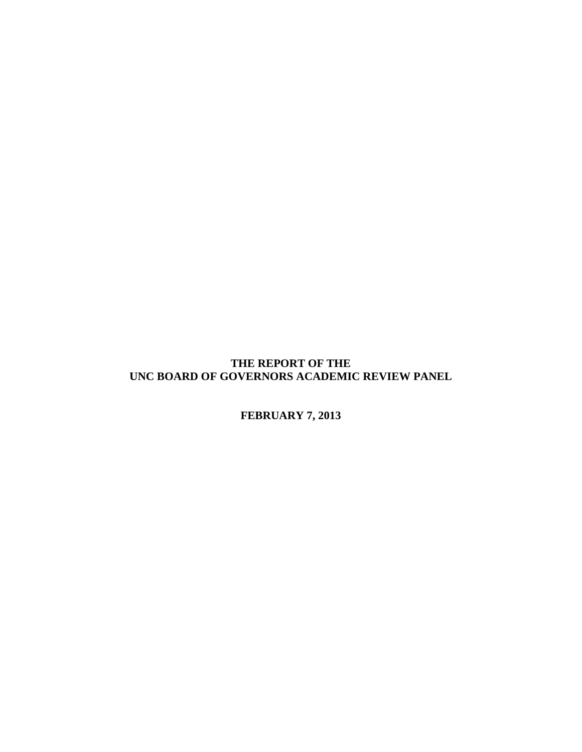# **THE REPORT OF THE UNC BOARD OF GOVERNORS ACADEMIC REVIEW PANEL**

**FEBRUARY 7, 2013**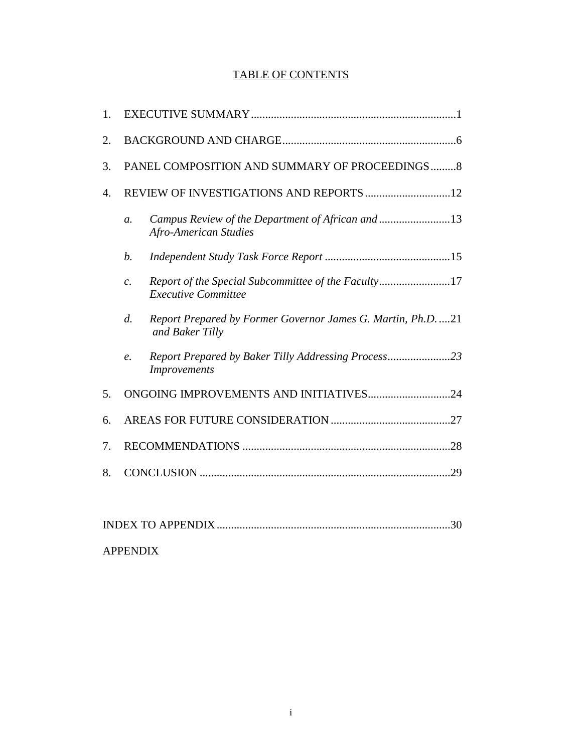# TABLE OF CONTENTS

| 1. |                                                |                                                                                   |  |
|----|------------------------------------------------|-----------------------------------------------------------------------------------|--|
| 2. |                                                |                                                                                   |  |
| 3. | PANEL COMPOSITION AND SUMMARY OF PROCEEDINGS 8 |                                                                                   |  |
| 4. |                                                |                                                                                   |  |
|    | $\mathfrak{a}$ .                               | Campus Review of the Department of African and13<br><b>Afro-American Studies</b>  |  |
|    | b.                                             |                                                                                   |  |
|    | $\mathcal{C}$ .                                | Report of the Special Subcommittee of the Faculty17<br><b>Executive Committee</b> |  |
|    | $d$ .                                          | Report Prepared by Former Governor James G. Martin, Ph.D. 21<br>and Baker Tilly   |  |
|    | $\ell$ .                                       | Report Prepared by Baker Tilly Addressing Process23<br><b>Improvements</b>        |  |
| 5. | ONGOING IMPROVEMENTS AND INITIATIVES24         |                                                                                   |  |
| 6. |                                                |                                                                                   |  |
| 7. |                                                |                                                                                   |  |
| 8. |                                                |                                                                                   |  |
|    |                                                |                                                                                   |  |

| <b>APPENDIX</b> |  |
|-----------------|--|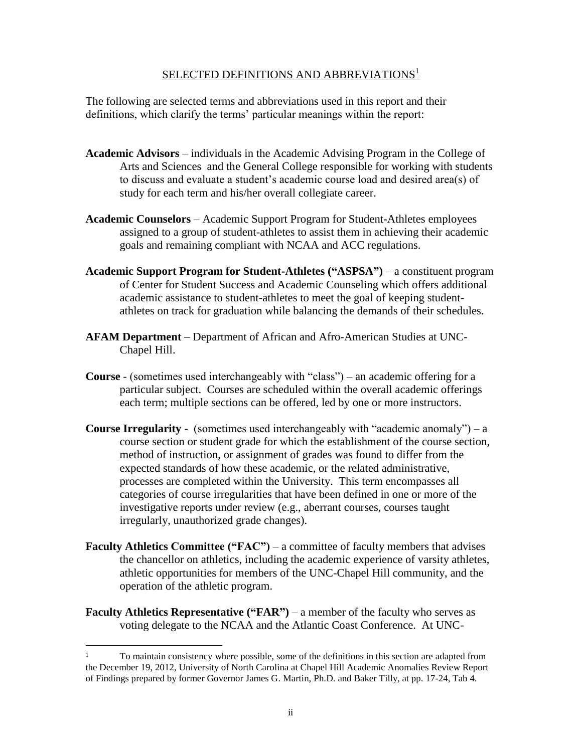# SELECTED DEFINITIONS AND ABBREVIATIONS<sup>1</sup>

The following are selected terms and abbreviations used in this report and their definitions, which clarify the terms' particular meanings within the report:

- **Academic Advisors** individuals in the Academic Advising Program in the College of Arts and Sciences and the General College responsible for working with students to discuss and evaluate a student's academic course load and desired area(s) of study for each term and his/her overall collegiate career.
- **Academic Counselors** Academic Support Program for Student-Athletes employees assigned to a group of student-athletes to assist them in achieving their academic goals and remaining compliant with NCAA and ACC regulations.
- **Academic Support Program for Student-Athletes ("ASPSA")**  a constituent program of Center for Student Success and Academic Counseling which offers additional academic assistance to student-athletes to meet the goal of keeping studentathletes on track for graduation while balancing the demands of their schedules.
- **AFAM Department** Department of African and Afro-American Studies at UNC-Chapel Hill.
- **Course** (sometimes used interchangeably with "class") an academic offering for a particular subject. Courses are scheduled within the overall academic offerings each term; multiple sections can be offered, led by one or more instructors.
- **Course Irregularity** -(sometimes used interchangeably with "academic anomaly") a course section or student grade for which the establishment of the course section, method of instruction, or assignment of grades was found to differ from the expected standards of how these academic, or the related administrative, processes are completed within the University. This term encompasses all categories of course irregularities that have been defined in one or more of the investigative reports under review (e.g., aberrant courses, courses taught irregularly, unauthorized grade changes).
- **Faculty Athletics Committee ("FAC")**  a committee of faculty members that advises the chancellor on athletics, including the academic experience of varsity athletes, athletic opportunities for members of the UNC-Chapel Hill community, and the operation of the athletic program.
- **Faculty Athletics Representative ("FAR")** a member of the faculty who serves as voting delegate to the NCAA and the Atlantic Coast Conference. At UNC-

 $\overline{\phantom{a}}$ 

<sup>&</sup>lt;sup>1</sup> To maintain consistency where possible, some of the definitions in this section are adapted from the December 19, 2012, University of North Carolina at Chapel Hill Academic Anomalies Review Report of Findings prepared by former Governor James G. Martin, Ph.D. and Baker Tilly, at pp. 17-24, Tab 4.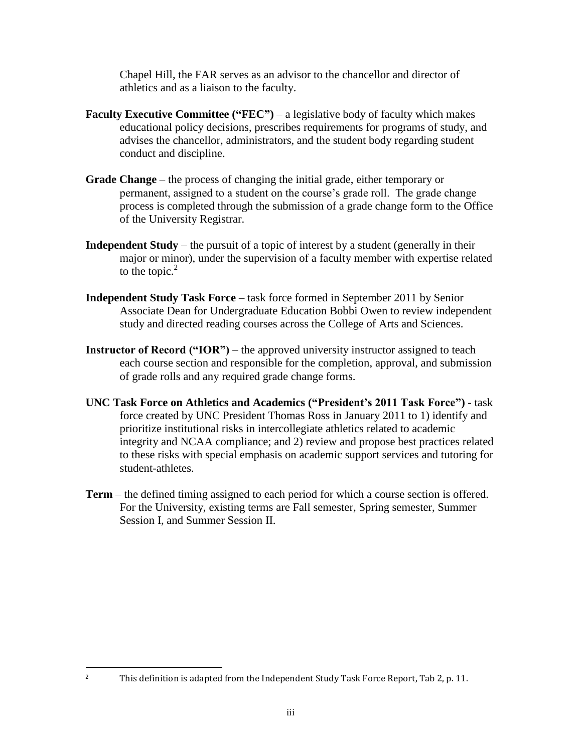Chapel Hill, the FAR serves as an advisor to the chancellor and director of athletics and as a liaison to the faculty.

- **Faculty Executive Committee ("FEC")** a legislative body of faculty which makes educational policy decisions, prescribes requirements for programs of study, and advises the chancellor, administrators, and the student body regarding student conduct and discipline.
- **Grade Change** the process of changing the initial grade, either temporary or permanent, assigned to a student on the course's grade roll. The grade change process is completed through the submission of a grade change form to the Office of the University Registrar.
- **Independent Study** the pursuit of a topic of interest by a student (generally in their major or minor), under the supervision of a faculty member with expertise related to the topic. $<sup>2</sup>$ </sup>
- **Independent Study Task Force** task force formed in September 2011 by Senior Associate Dean for Undergraduate Education Bobbi Owen to review independent study and directed reading courses across the College of Arts and Sciences.
- **Instructor of Record ("IOR")** the approved university instructor assigned to teach each course section and responsible for the completion, approval, and submission of grade rolls and any required grade change forms.
- **UNC Task Force on Athletics and Academics ("President's 2011 Task Force")** task force created by UNC President Thomas Ross in January 2011 to 1) identify and prioritize institutional risks in intercollegiate athletics related to academic integrity and NCAA compliance; and 2) review and propose best practices related to these risks with special emphasis on academic support services and tutoring for student-athletes.
- **Term** the defined timing assigned to each period for which a course section is offered. For the University, existing terms are Fall semester, Spring semester, Summer Session I, and Summer Session II.

l

<sup>&</sup>lt;sup>2</sup> This definition is adapted from the Independent Study Task Force Report, Tab 2, p. 11.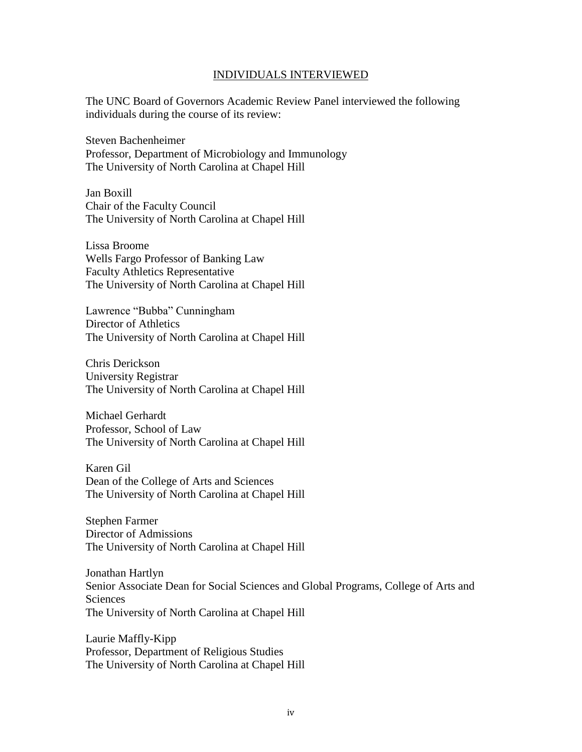#### INDIVIDUALS INTERVIEWED

The UNC Board of Governors Academic Review Panel interviewed the following individuals during the course of its review:

Steven Bachenheimer Professor, Department of Microbiology and Immunology The University of North Carolina at Chapel Hill

Jan Boxill Chair of the Faculty Council The University of North Carolina at Chapel Hill

Lissa Broome Wells Fargo Professor of Banking Law Faculty Athletics Representative The University of North Carolina at Chapel Hill

Lawrence "Bubba" Cunningham Director of Athletics The University of North Carolina at Chapel Hill

Chris Derickson University Registrar The University of North Carolina at Chapel Hill

Michael Gerhardt Professor, School of Law The University of North Carolina at Chapel Hill

Karen Gil Dean of the College of Arts and Sciences The University of North Carolina at Chapel Hill

Stephen Farmer Director of Admissions The University of North Carolina at Chapel Hill

Jonathan Hartlyn Senior Associate Dean for Social Sciences and Global Programs, College of Arts and **Sciences** The University of North Carolina at Chapel Hill

Laurie Maffly-Kipp Professor, Department of Religious Studies The University of North Carolina at Chapel Hill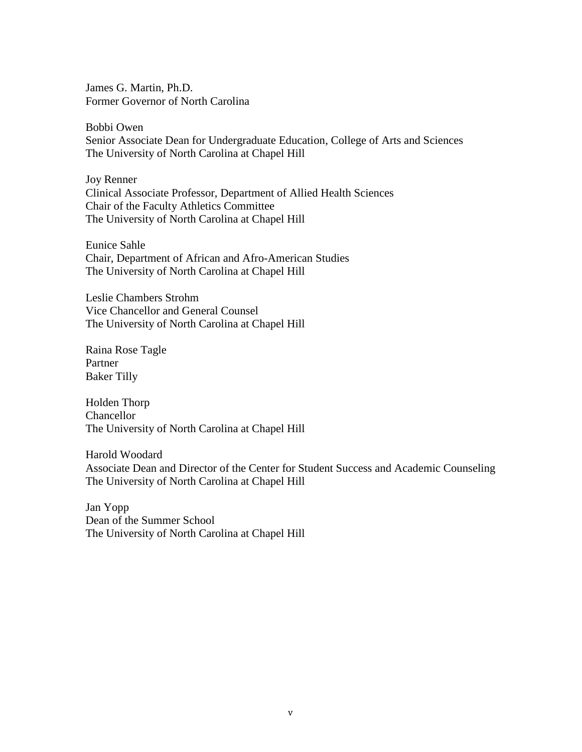James G. Martin, Ph.D. Former Governor of North Carolina

Bobbi Owen Senior Associate Dean for Undergraduate Education, College of Arts and Sciences The University of North Carolina at Chapel Hill

Joy Renner Clinical Associate Professor, Department of Allied Health Sciences Chair of the Faculty Athletics Committee The University of North Carolina at Chapel Hill

Eunice Sahle Chair, Department of African and Afro-American Studies The University of North Carolina at Chapel Hill

Leslie Chambers Strohm Vice Chancellor and General Counsel The University of North Carolina at Chapel Hill

Raina Rose Tagle Partner Baker Tilly

Holden Thorp Chancellor The University of North Carolina at Chapel Hill

Harold Woodard Associate Dean and Director of the Center for Student Success and Academic Counseling The University of North Carolina at Chapel Hill

Jan Yopp Dean of the Summer School The University of North Carolina at Chapel Hill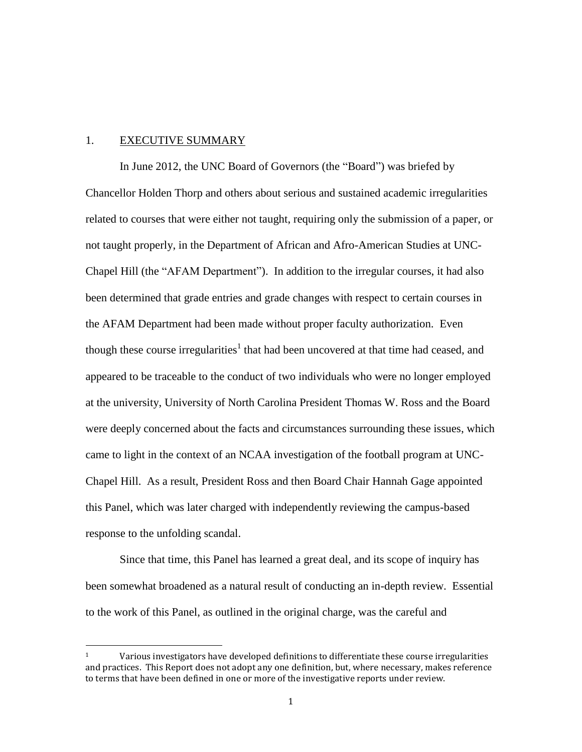#### 1. EXECUTIVE SUMMARY

 $\overline{\phantom{a}}$ 

In June 2012, the UNC Board of Governors (the "Board") was briefed by Chancellor Holden Thorp and others about serious and sustained academic irregularities related to courses that were either not taught, requiring only the submission of a paper, or not taught properly, in the Department of African and Afro-American Studies at UNC-Chapel Hill (the "AFAM Department"). In addition to the irregular courses, it had also been determined that grade entries and grade changes with respect to certain courses in the AFAM Department had been made without proper faculty authorization. Even though these course irregularities<sup>1</sup> that had been uncovered at that time had ceased, and appeared to be traceable to the conduct of two individuals who were no longer employed at the university, University of North Carolina President Thomas W. Ross and the Board were deeply concerned about the facts and circumstances surrounding these issues, which came to light in the context of an NCAA investigation of the football program at UNC-Chapel Hill. As a result, President Ross and then Board Chair Hannah Gage appointed this Panel, which was later charged with independently reviewing the campus-based response to the unfolding scandal.

Since that time, this Panel has learned a great deal, and its scope of inquiry has been somewhat broadened as a natural result of conducting an in-depth review. Essential to the work of this Panel, as outlined in the original charge, was the careful and

 $1 \text{ Various investigations have developed definitions to differentiate these course irregularities}$ and practices. This Report does not adopt any one definition, but, where necessary, makes reference to terms that have been defined in one or more of the investigative reports under review.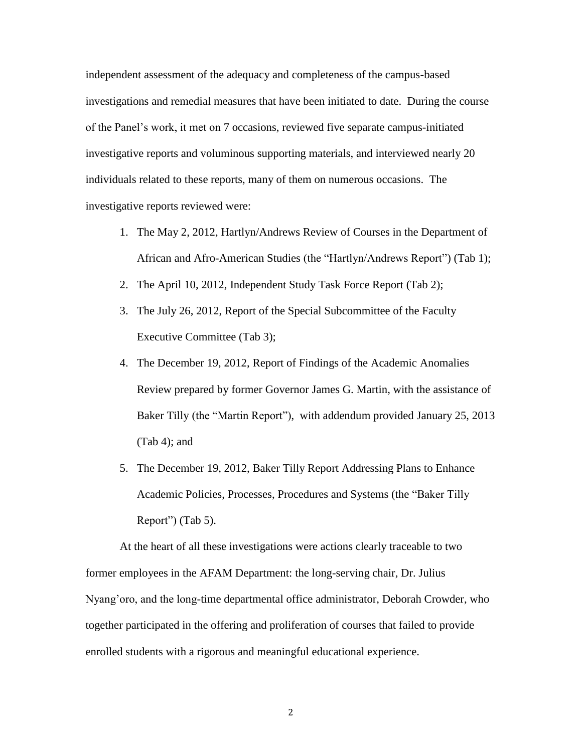independent assessment of the adequacy and completeness of the campus-based investigations and remedial measures that have been initiated to date. During the course of the Panel's work, it met on 7 occasions, reviewed five separate campus-initiated investigative reports and voluminous supporting materials, and interviewed nearly 20 individuals related to these reports, many of them on numerous occasions. The investigative reports reviewed were:

- 1. The May 2, 2012, Hartlyn/Andrews Review of Courses in the Department of African and Afro-American Studies (the "Hartlyn/Andrews Report") (Tab 1);
- 2. The April 10, 2012, Independent Study Task Force Report (Tab 2);
- 3. The July 26, 2012, Report of the Special Subcommittee of the Faculty Executive Committee (Tab 3);
- 4. The December 19, 2012, Report of Findings of the Academic Anomalies Review prepared by former Governor James G. Martin, with the assistance of Baker Tilly (the "Martin Report"), with addendum provided January 25, 2013 (Tab 4); and
- 5. The December 19, 2012, Baker Tilly Report Addressing Plans to Enhance Academic Policies, Processes, Procedures and Systems (the "Baker Tilly Report") (Tab 5).

At the heart of all these investigations were actions clearly traceable to two former employees in the AFAM Department: the long-serving chair, Dr. Julius Nyang'oro, and the long-time departmental office administrator, Deborah Crowder, who together participated in the offering and proliferation of courses that failed to provide enrolled students with a rigorous and meaningful educational experience.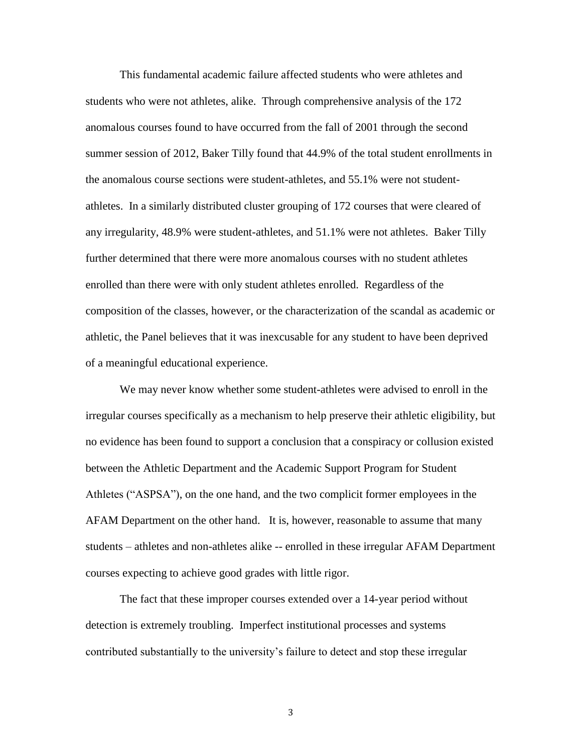This fundamental academic failure affected students who were athletes and students who were not athletes, alike. Through comprehensive analysis of the 172 anomalous courses found to have occurred from the fall of 2001 through the second summer session of 2012, Baker Tilly found that 44.9% of the total student enrollments in the anomalous course sections were student-athletes, and 55.1% were not studentathletes. In a similarly distributed cluster grouping of 172 courses that were cleared of any irregularity, 48.9% were student-athletes, and 51.1% were not athletes. Baker Tilly further determined that there were more anomalous courses with no student athletes enrolled than there were with only student athletes enrolled. Regardless of the composition of the classes, however, or the characterization of the scandal as academic or athletic, the Panel believes that it was inexcusable for any student to have been deprived of a meaningful educational experience.

We may never know whether some student-athletes were advised to enroll in the irregular courses specifically as a mechanism to help preserve their athletic eligibility, but no evidence has been found to support a conclusion that a conspiracy or collusion existed between the Athletic Department and the Academic Support Program for Student Athletes ("ASPSA"), on the one hand, and the two complicit former employees in the AFAM Department on the other hand. It is, however, reasonable to assume that many students – athletes and non-athletes alike -- enrolled in these irregular AFAM Department courses expecting to achieve good grades with little rigor.

The fact that these improper courses extended over a 14-year period without detection is extremely troubling. Imperfect institutional processes and systems contributed substantially to the university's failure to detect and stop these irregular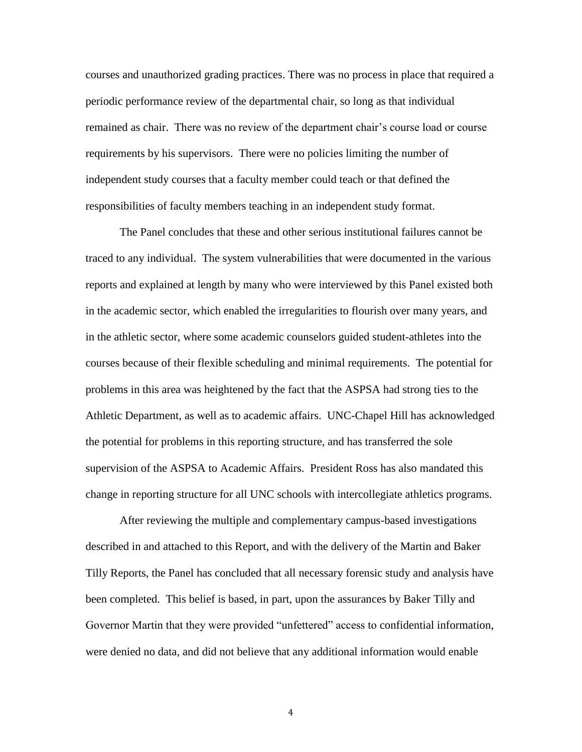courses and unauthorized grading practices. There was no process in place that required a periodic performance review of the departmental chair, so long as that individual remained as chair. There was no review of the department chair's course load or course requirements by his supervisors. There were no policies limiting the number of independent study courses that a faculty member could teach or that defined the responsibilities of faculty members teaching in an independent study format.

The Panel concludes that these and other serious institutional failures cannot be traced to any individual. The system vulnerabilities that were documented in the various reports and explained at length by many who were interviewed by this Panel existed both in the academic sector, which enabled the irregularities to flourish over many years, and in the athletic sector, where some academic counselors guided student-athletes into the courses because of their flexible scheduling and minimal requirements. The potential for problems in this area was heightened by the fact that the ASPSA had strong ties to the Athletic Department, as well as to academic affairs. UNC-Chapel Hill has acknowledged the potential for problems in this reporting structure, and has transferred the sole supervision of the ASPSA to Academic Affairs. President Ross has also mandated this change in reporting structure for all UNC schools with intercollegiate athletics programs.

 After reviewing the multiple and complementary campus-based investigations described in and attached to this Report, and with the delivery of the Martin and Baker Tilly Reports, the Panel has concluded that all necessary forensic study and analysis have been completed. This belief is based, in part, upon the assurances by Baker Tilly and Governor Martin that they were provided "unfettered" access to confidential information, were denied no data, and did not believe that any additional information would enable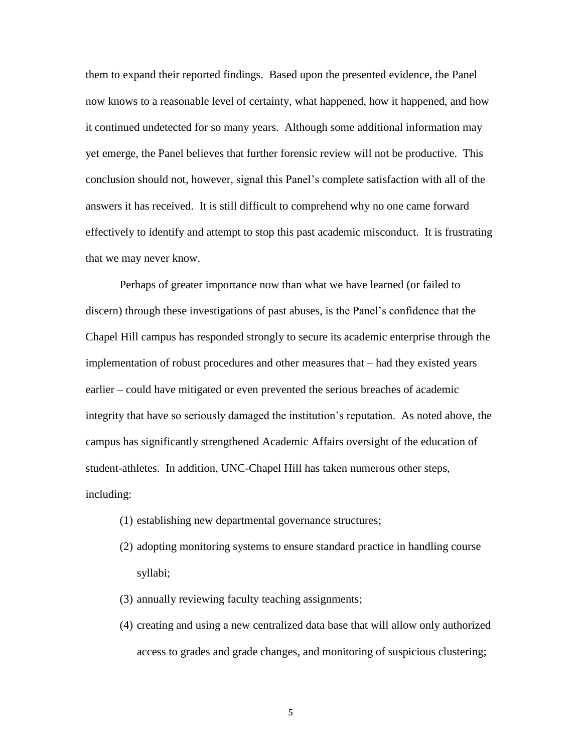them to expand their reported findings. Based upon the presented evidence, the Panel now knows to a reasonable level of certainty, what happened, how it happened, and how it continued undetected for so many years. Although some additional information may yet emerge, the Panel believes that further forensic review will not be productive. This conclusion should not, however, signal this Panel's complete satisfaction with all of the answers it has received. It is still difficult to comprehend why no one came forward effectively to identify and attempt to stop this past academic misconduct. It is frustrating that we may never know.

Perhaps of greater importance now than what we have learned (or failed to discern) through these investigations of past abuses, is the Panel's confidence that the Chapel Hill campus has responded strongly to secure its academic enterprise through the implementation of robust procedures and other measures that – had they existed years earlier – could have mitigated or even prevented the serious breaches of academic integrity that have so seriously damaged the institution's reputation. As noted above, the campus has significantly strengthened Academic Affairs oversight of the education of student-athletes. In addition, UNC-Chapel Hill has taken numerous other steps, including:

- (1) establishing new departmental governance structures;
- (2) adopting monitoring systems to ensure standard practice in handling course syllabi;
- (3) annually reviewing faculty teaching assignments;
- (4) creating and using a new centralized data base that will allow only authorized access to grades and grade changes, and monitoring of suspicious clustering;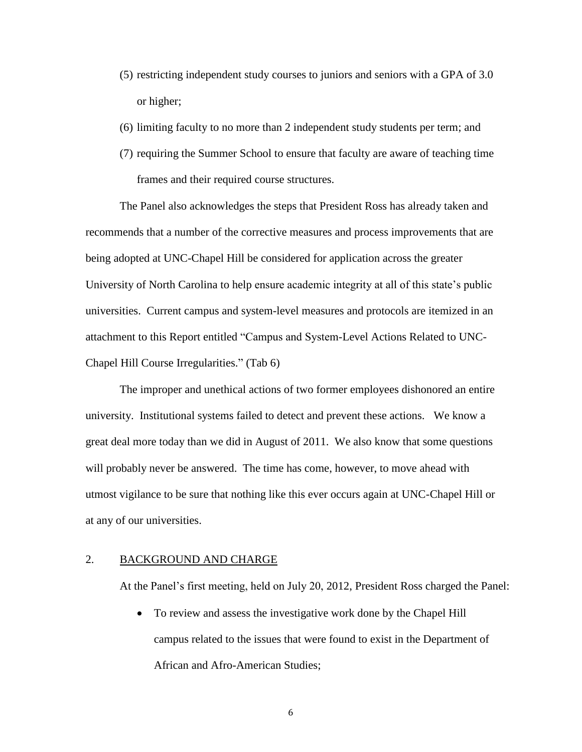- (5) restricting independent study courses to juniors and seniors with a GPA of 3.0 or higher;
- (6) limiting faculty to no more than 2 independent study students per term; and
- (7) requiring the Summer School to ensure that faculty are aware of teaching time frames and their required course structures.

The Panel also acknowledges the steps that President Ross has already taken and recommends that a number of the corrective measures and process improvements that are being adopted at UNC-Chapel Hill be considered for application across the greater University of North Carolina to help ensure academic integrity at all of this state's public universities. Current campus and system-level measures and protocols are itemized in an attachment to this Report entitled "Campus and System-Level Actions Related to UNC-Chapel Hill Course Irregularities." (Tab 6)

The improper and unethical actions of two former employees dishonored an entire university. Institutional systems failed to detect and prevent these actions. We know a great deal more today than we did in August of 2011. We also know that some questions will probably never be answered. The time has come, however, to move ahead with utmost vigilance to be sure that nothing like this ever occurs again at UNC-Chapel Hill or at any of our universities.

### 2. BACKGROUND AND CHARGE

At the Panel's first meeting, held on July 20, 2012, President Ross charged the Panel:

 To review and assess the investigative work done by the Chapel Hill campus related to the issues that were found to exist in the Department of African and Afro-American Studies;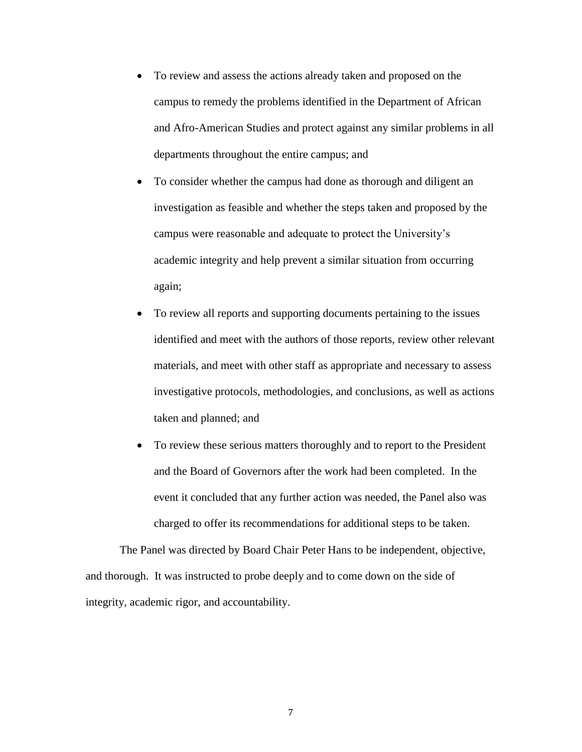- To review and assess the actions already taken and proposed on the campus to remedy the problems identified in the Department of African and Afro-American Studies and protect against any similar problems in all departments throughout the entire campus; and
- To consider whether the campus had done as thorough and diligent an investigation as feasible and whether the steps taken and proposed by the campus were reasonable and adequate to protect the University's academic integrity and help prevent a similar situation from occurring again;
- To review all reports and supporting documents pertaining to the issues identified and meet with the authors of those reports, review other relevant materials, and meet with other staff as appropriate and necessary to assess investigative protocols, methodologies, and conclusions, as well as actions taken and planned; and
- To review these serious matters thoroughly and to report to the President and the Board of Governors after the work had been completed. In the event it concluded that any further action was needed, the Panel also was charged to offer its recommendations for additional steps to be taken.

The Panel was directed by Board Chair Peter Hans to be independent, objective, and thorough. It was instructed to probe deeply and to come down on the side of integrity, academic rigor, and accountability.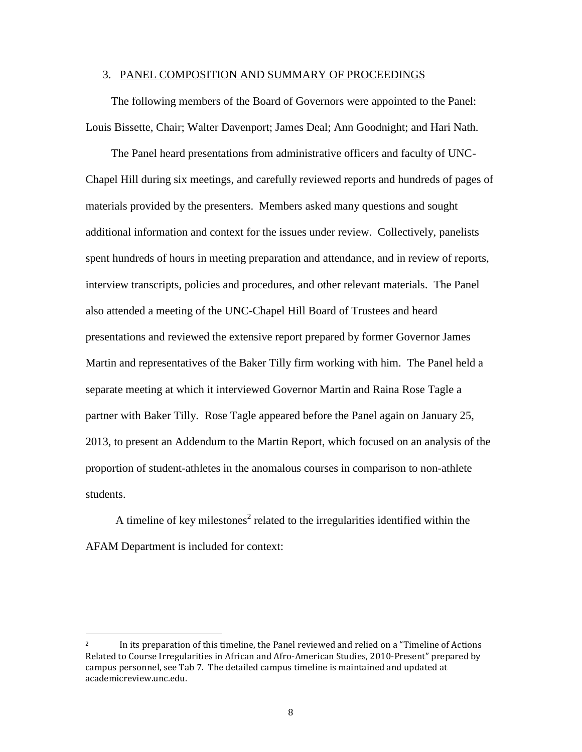#### 3. PANEL COMPOSITION AND SUMMARY OF PROCEEDINGS

The following members of the Board of Governors were appointed to the Panel: Louis Bissette, Chair; Walter Davenport; James Deal; Ann Goodnight; and Hari Nath.

The Panel heard presentations from administrative officers and faculty of UNC-Chapel Hill during six meetings, and carefully reviewed reports and hundreds of pages of materials provided by the presenters. Members asked many questions and sought additional information and context for the issues under review. Collectively, panelists spent hundreds of hours in meeting preparation and attendance, and in review of reports, interview transcripts, policies and procedures, and other relevant materials. The Panel also attended a meeting of the UNC-Chapel Hill Board of Trustees and heard presentations and reviewed the extensive report prepared by former Governor James Martin and representatives of the Baker Tilly firm working with him. The Panel held a separate meeting at which it interviewed Governor Martin and Raina Rose Tagle a partner with Baker Tilly. Rose Tagle appeared before the Panel again on January 25, 2013, to present an Addendum to the Martin Report, which focused on an analysis of the proportion of student-athletes in the anomalous courses in comparison to non-athlete students.

A timeline of key milestones<sup>2</sup> related to the irregularities identified within the AFAM Department is included for context:

 $\overline{\phantom{a}}$ 

<sup>&</sup>lt;sup>2</sup> In its preparation of this timeline, the Panel reviewed and relied on a "Timeline of Actions" Related to Course Irregularities in African and Afro-American Studies, 2010-Present" prepared by campus personnel, see Tab 7. The detailed campus timeline is maintained and updated at academicreview.unc.edu.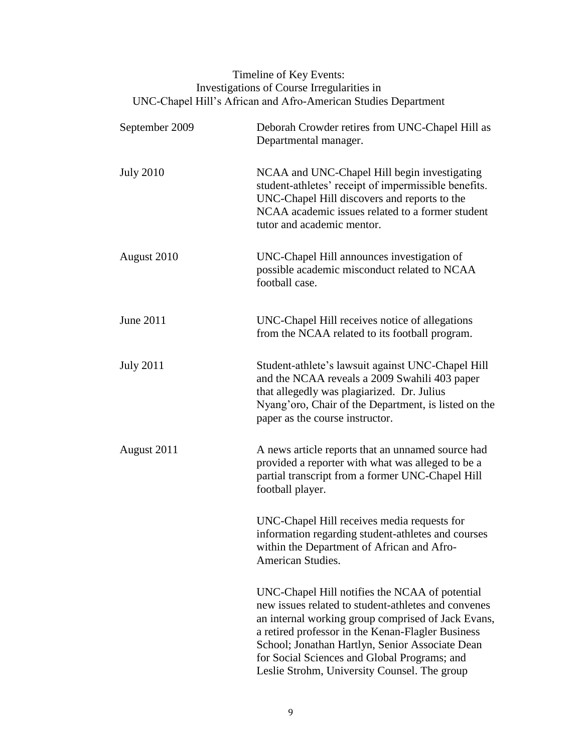# Timeline of Key Events: Investigations of Course Irregularities in UNC-Chapel Hill's African and Afro-American Studies Department

| September 2009   | Deborah Crowder retires from UNC-Chapel Hill as<br>Departmental manager.                                                                                                                                                                                                                                                                                            |
|------------------|---------------------------------------------------------------------------------------------------------------------------------------------------------------------------------------------------------------------------------------------------------------------------------------------------------------------------------------------------------------------|
| <b>July 2010</b> | NCAA and UNC-Chapel Hill begin investigating<br>student-athletes' receipt of impermissible benefits.<br>UNC-Chapel Hill discovers and reports to the<br>NCAA academic issues related to a former student<br>tutor and academic mentor.                                                                                                                              |
| August 2010      | UNC-Chapel Hill announces investigation of<br>possible academic misconduct related to NCAA<br>football case.                                                                                                                                                                                                                                                        |
| June 2011        | UNC-Chapel Hill receives notice of allegations<br>from the NCAA related to its football program.                                                                                                                                                                                                                                                                    |
| <b>July 2011</b> | Student-athlete's lawsuit against UNC-Chapel Hill<br>and the NCAA reveals a 2009 Swahili 403 paper<br>that allegedly was plagiarized. Dr. Julius<br>Nyang'oro, Chair of the Department, is listed on the<br>paper as the course instructor.                                                                                                                         |
| August 2011      | A news article reports that an unnamed source had<br>provided a reporter with what was alleged to be a<br>partial transcript from a former UNC-Chapel Hill<br>football player.                                                                                                                                                                                      |
|                  | UNC-Chapel Hill receives media requests for<br>information regarding student-athletes and courses<br>within the Department of African and Afro-<br>American Studies.                                                                                                                                                                                                |
|                  | UNC-Chapel Hill notifies the NCAA of potential<br>new issues related to student-athletes and convenes<br>an internal working group comprised of Jack Evans,<br>a retired professor in the Kenan-Flagler Business<br>School; Jonathan Hartlyn, Senior Associate Dean<br>for Social Sciences and Global Programs; and<br>Leslie Strohm, University Counsel. The group |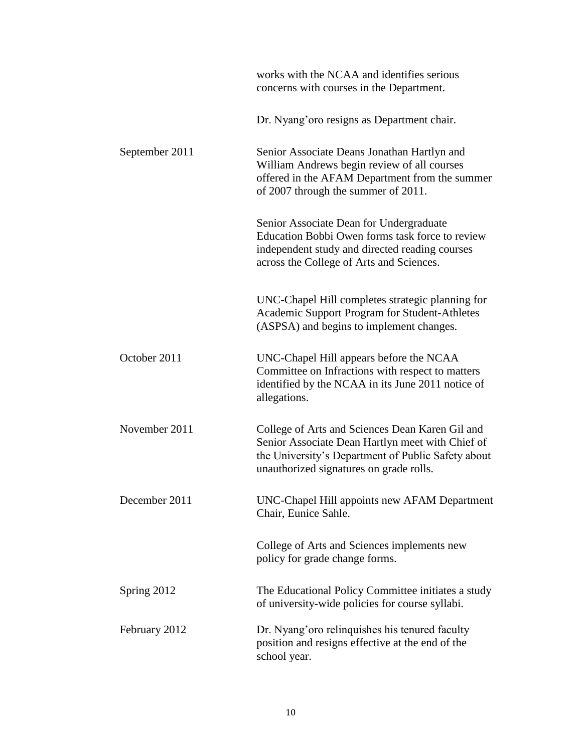|                | works with the NCAA and identifies serious<br>concerns with courses in the Department.                                                                                                               |
|----------------|------------------------------------------------------------------------------------------------------------------------------------------------------------------------------------------------------|
|                | Dr. Nyang'oro resigns as Department chair.                                                                                                                                                           |
| September 2011 | Senior Associate Deans Jonathan Hartlyn and<br>William Andrews begin review of all courses<br>offered in the AFAM Department from the summer<br>of 2007 through the summer of 2011.                  |
|                | Senior Associate Dean for Undergraduate<br>Education Bobbi Owen forms task force to review<br>independent study and directed reading courses<br>across the College of Arts and Sciences.             |
|                | UNC-Chapel Hill completes strategic planning for<br><b>Academic Support Program for Student-Athletes</b><br>(ASPSA) and begins to implement changes.                                                 |
| October 2011   | UNC-Chapel Hill appears before the NCAA<br>Committee on Infractions with respect to matters<br>identified by the NCAA in its June 2011 notice of<br>allegations.                                     |
| November 2011  | College of Arts and Sciences Dean Karen Gil and<br>Senior Associate Dean Hartlyn meet with Chief of<br>the University's Department of Public Safety about<br>unauthorized signatures on grade rolls. |
| December 2011  | UNC-Chapel Hill appoints new AFAM Department<br>Chair, Eunice Sahle.                                                                                                                                 |
|                | College of Arts and Sciences implements new<br>policy for grade change forms.                                                                                                                        |
| Spring 2012    | The Educational Policy Committee initiates a study<br>of university-wide policies for course syllabi.                                                                                                |
| February 2012  | Dr. Nyang'oro relinquishes his tenured faculty<br>position and resigns effective at the end of the<br>school year.                                                                                   |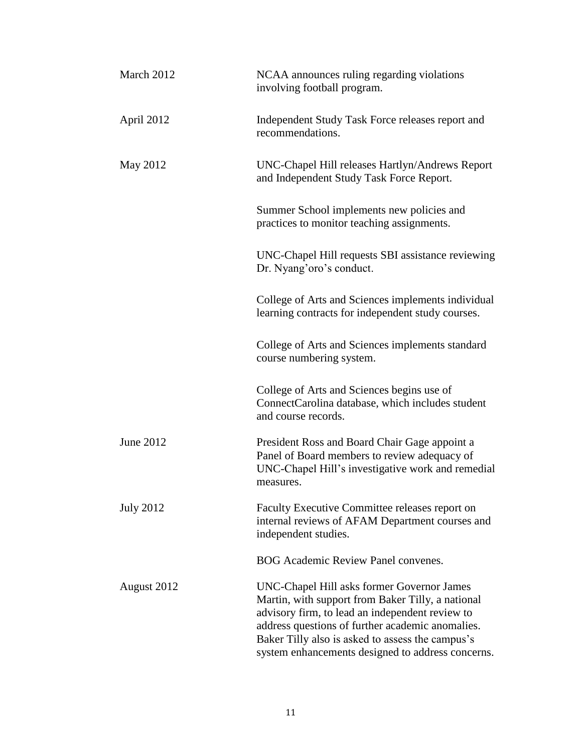| March 2012       | NCAA announces ruling regarding violations<br>involving football program.                                                                                                                                                                                                                                       |
|------------------|-----------------------------------------------------------------------------------------------------------------------------------------------------------------------------------------------------------------------------------------------------------------------------------------------------------------|
| April 2012       | Independent Study Task Force releases report and<br>recommendations.                                                                                                                                                                                                                                            |
| May 2012         | UNC-Chapel Hill releases Hartlyn/Andrews Report<br>and Independent Study Task Force Report.                                                                                                                                                                                                                     |
|                  | Summer School implements new policies and<br>practices to monitor teaching assignments.                                                                                                                                                                                                                         |
|                  | UNC-Chapel Hill requests SBI assistance reviewing<br>Dr. Nyang'oro's conduct.                                                                                                                                                                                                                                   |
|                  | College of Arts and Sciences implements individual<br>learning contracts for independent study courses.                                                                                                                                                                                                         |
|                  | College of Arts and Sciences implements standard<br>course numbering system.                                                                                                                                                                                                                                    |
|                  | College of Arts and Sciences begins use of<br>ConnectCarolina database, which includes student<br>and course records.                                                                                                                                                                                           |
| June 2012        | President Ross and Board Chair Gage appoint a<br>Panel of Board members to review adequacy of<br>UNC-Chapel Hill's investigative work and remedial<br>measures.                                                                                                                                                 |
| <b>July 2012</b> | Faculty Executive Committee releases report on<br>internal reviews of AFAM Department courses and<br>independent studies.                                                                                                                                                                                       |
|                  | <b>BOG Academic Review Panel convenes.</b>                                                                                                                                                                                                                                                                      |
| August 2012      | UNC-Chapel Hill asks former Governor James<br>Martin, with support from Baker Tilly, a national<br>advisory firm, to lead an independent review to<br>address questions of further academic anomalies.<br>Baker Tilly also is asked to assess the campus's<br>system enhancements designed to address concerns. |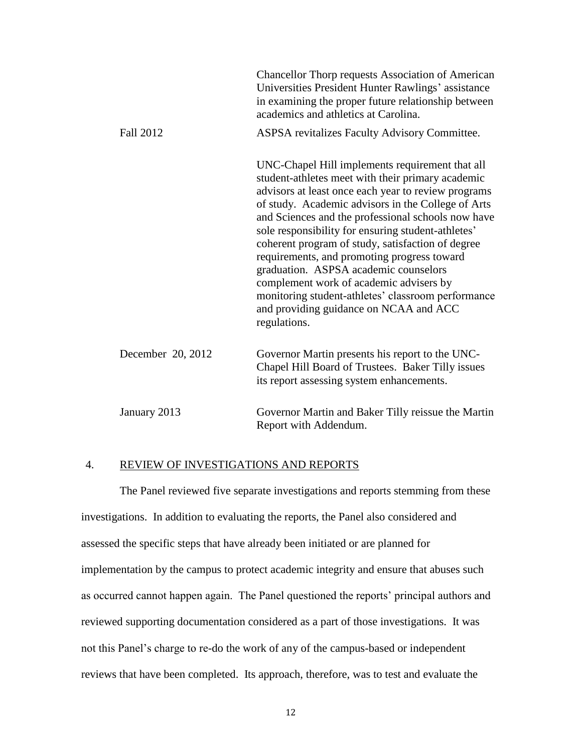|                   | Chancellor Thorp requests Association of American<br>Universities President Hunter Rawlings' assistance<br>in examining the proper future relationship between<br>academics and athletics at Carolina.                                                                                                                                                                                                                                                                                                                                                                                                                                |
|-------------------|---------------------------------------------------------------------------------------------------------------------------------------------------------------------------------------------------------------------------------------------------------------------------------------------------------------------------------------------------------------------------------------------------------------------------------------------------------------------------------------------------------------------------------------------------------------------------------------------------------------------------------------|
| <b>Fall 2012</b>  | ASPSA revitalizes Faculty Advisory Committee.                                                                                                                                                                                                                                                                                                                                                                                                                                                                                                                                                                                         |
|                   | UNC-Chapel Hill implements requirement that all<br>student-athletes meet with their primary academic<br>advisors at least once each year to review programs<br>of study. Academic advisors in the College of Arts<br>and Sciences and the professional schools now have<br>sole responsibility for ensuring student-athletes'<br>coherent program of study, satisfaction of degree<br>requirements, and promoting progress toward<br>graduation. ASPSA academic counselors<br>complement work of academic advisers by<br>monitoring student-athletes' classroom performance<br>and providing guidance on NCAA and ACC<br>regulations. |
| December 20, 2012 | Governor Martin presents his report to the UNC-<br>Chapel Hill Board of Trustees. Baker Tilly issues<br>its report assessing system enhancements.                                                                                                                                                                                                                                                                                                                                                                                                                                                                                     |
| January 2013      | Governor Martin and Baker Tilly reissue the Martin<br>Report with Addendum.                                                                                                                                                                                                                                                                                                                                                                                                                                                                                                                                                           |

# 4. REVIEW OF INVESTIGATIONS AND REPORTS

The Panel reviewed five separate investigations and reports stemming from these investigations. In addition to evaluating the reports, the Panel also considered and assessed the specific steps that have already been initiated or are planned for implementation by the campus to protect academic integrity and ensure that abuses such as occurred cannot happen again. The Panel questioned the reports' principal authors and reviewed supporting documentation considered as a part of those investigations. It was not this Panel's charge to re-do the work of any of the campus-based or independent reviews that have been completed. Its approach, therefore, was to test and evaluate the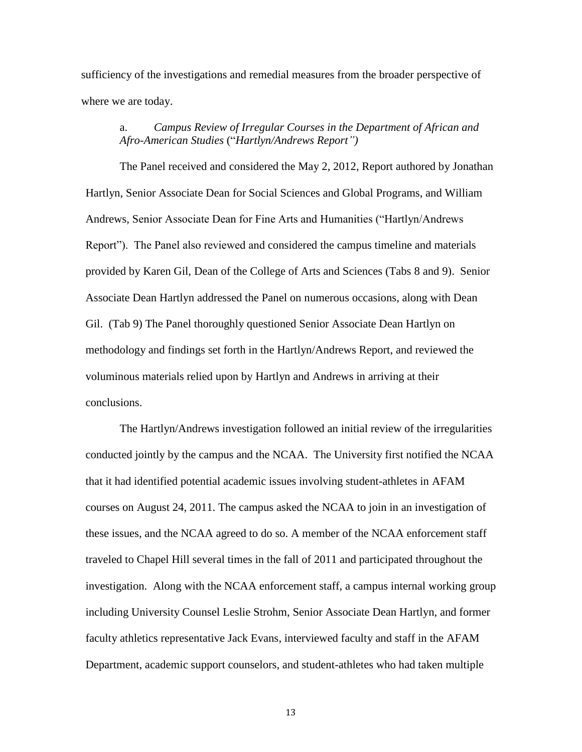sufficiency of the investigations and remedial measures from the broader perspective of where we are today.

# a. *Campus Review of Irregular Courses in the Department of African and Afro-American Studies* ("*Hartlyn/Andrews Report")*

The Panel received and considered the May 2, 2012, Report authored by Jonathan Hartlyn, Senior Associate Dean for Social Sciences and Global Programs, and William Andrews, Senior Associate Dean for Fine Arts and Humanities ("Hartlyn/Andrews Report"). The Panel also reviewed and considered the campus timeline and materials provided by Karen Gil, Dean of the College of Arts and Sciences (Tabs 8 and 9). Senior Associate Dean Hartlyn addressed the Panel on numerous occasions, along with Dean Gil. (Tab 9) The Panel thoroughly questioned Senior Associate Dean Hartlyn on methodology and findings set forth in the Hartlyn/Andrews Report, and reviewed the voluminous materials relied upon by Hartlyn and Andrews in arriving at their conclusions.

The Hartlyn/Andrews investigation followed an initial review of the irregularities conducted jointly by the campus and the NCAA. The University first notified the NCAA that it had identified potential academic issues involving student-athletes in AFAM courses on August 24, 2011. The campus asked the NCAA to join in an investigation of these issues, and the NCAA agreed to do so. A member of the NCAA enforcement staff traveled to Chapel Hill several times in the fall of 2011 and participated throughout the investigation. Along with the NCAA enforcement staff, a campus internal working group including University Counsel Leslie Strohm, Senior Associate Dean Hartlyn, and former faculty athletics representative Jack Evans, interviewed faculty and staff in the AFAM Department, academic support counselors, and student-athletes who had taken multiple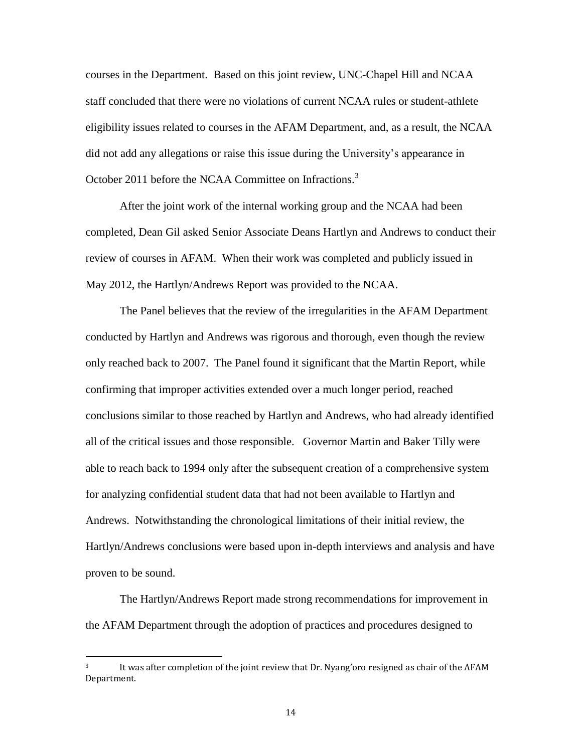courses in the Department. Based on this joint review, UNC-Chapel Hill and NCAA staff concluded that there were no violations of current NCAA rules or student-athlete eligibility issues related to courses in the AFAM Department, and, as a result, the NCAA did not add any allegations or raise this issue during the University's appearance in October 2011 before the NCAA Committee on Infractions.<sup>3</sup>

After the joint work of the internal working group and the NCAA had been completed, Dean Gil asked Senior Associate Deans Hartlyn and Andrews to conduct their review of courses in AFAM. When their work was completed and publicly issued in May 2012, the Hartlyn/Andrews Report was provided to the NCAA.

The Panel believes that the review of the irregularities in the AFAM Department conducted by Hartlyn and Andrews was rigorous and thorough, even though the review only reached back to 2007. The Panel found it significant that the Martin Report, while confirming that improper activities extended over a much longer period, reached conclusions similar to those reached by Hartlyn and Andrews, who had already identified all of the critical issues and those responsible. Governor Martin and Baker Tilly were able to reach back to 1994 only after the subsequent creation of a comprehensive system for analyzing confidential student data that had not been available to Hartlyn and Andrews. Notwithstanding the chronological limitations of their initial review, the Hartlyn/Andrews conclusions were based upon in-depth interviews and analysis and have proven to be sound.

The Hartlyn/Andrews Report made strong recommendations for improvement in the AFAM Department through the adoption of practices and procedures designed to

 $\overline{\phantom{a}}$ 

<sup>&</sup>lt;sup>3</sup> It was after completion of the joint review that Dr. Nyang'oro resigned as chair of the AFAM Department.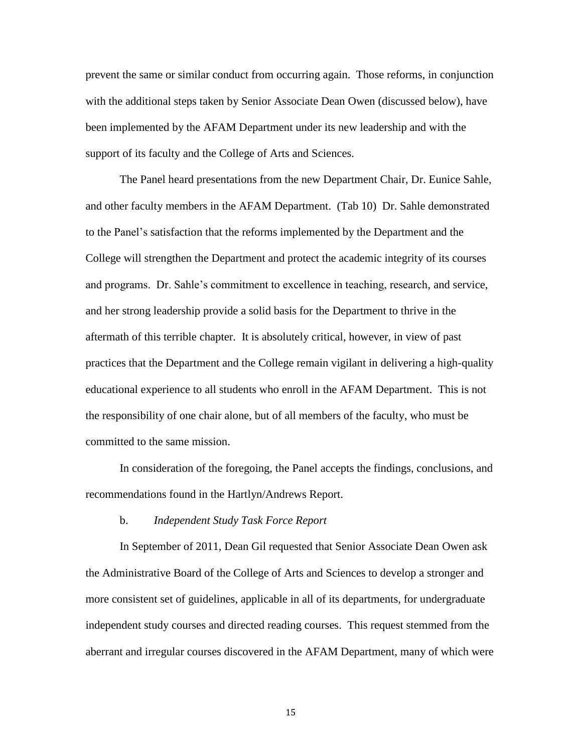prevent the same or similar conduct from occurring again. Those reforms, in conjunction with the additional steps taken by Senior Associate Dean Owen (discussed below), have been implemented by the AFAM Department under its new leadership and with the support of its faculty and the College of Arts and Sciences.

The Panel heard presentations from the new Department Chair, Dr. Eunice Sahle, and other faculty members in the AFAM Department. (Tab 10) Dr. Sahle demonstrated to the Panel's satisfaction that the reforms implemented by the Department and the College will strengthen the Department and protect the academic integrity of its courses and programs. Dr. Sahle's commitment to excellence in teaching, research, and service, and her strong leadership provide a solid basis for the Department to thrive in the aftermath of this terrible chapter. It is absolutely critical, however, in view of past practices that the Department and the College remain vigilant in delivering a high-quality educational experience to all students who enroll in the AFAM Department. This is not the responsibility of one chair alone, but of all members of the faculty, who must be committed to the same mission.

In consideration of the foregoing, the Panel accepts the findings, conclusions, and recommendations found in the Hartlyn/Andrews Report.

#### b. *Independent Study Task Force Report*

In September of 2011, Dean Gil requested that Senior Associate Dean Owen ask the Administrative Board of the College of Arts and Sciences to develop a stronger and more consistent set of guidelines, applicable in all of its departments, for undergraduate independent study courses and directed reading courses. This request stemmed from the aberrant and irregular courses discovered in the AFAM Department, many of which were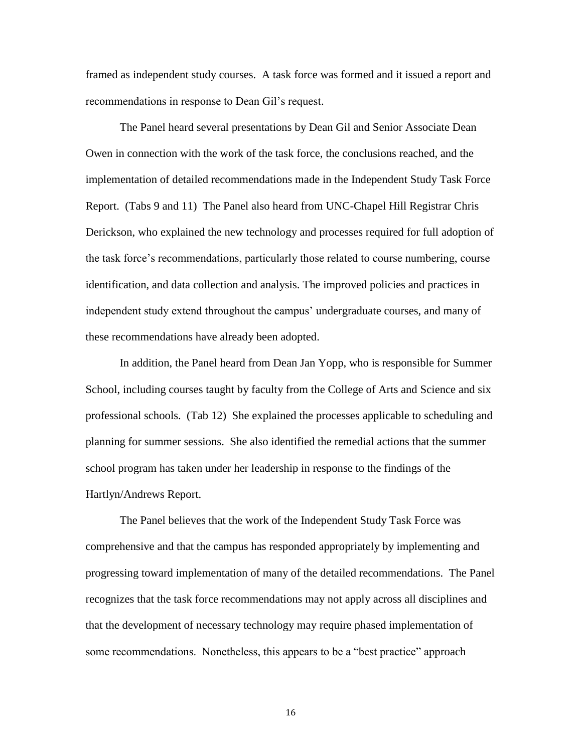framed as independent study courses. A task force was formed and it issued a report and recommendations in response to Dean Gil's request.

The Panel heard several presentations by Dean Gil and Senior Associate Dean Owen in connection with the work of the task force, the conclusions reached, and the implementation of detailed recommendations made in the Independent Study Task Force Report. (Tabs 9 and 11) The Panel also heard from UNC-Chapel Hill Registrar Chris Derickson, who explained the new technology and processes required for full adoption of the task force's recommendations, particularly those related to course numbering, course identification, and data collection and analysis. The improved policies and practices in independent study extend throughout the campus' undergraduate courses, and many of these recommendations have already been adopted.

In addition, the Panel heard from Dean Jan Yopp, who is responsible for Summer School, including courses taught by faculty from the College of Arts and Science and six professional schools. (Tab 12) She explained the processes applicable to scheduling and planning for summer sessions. She also identified the remedial actions that the summer school program has taken under her leadership in response to the findings of the Hartlyn/Andrews Report.

The Panel believes that the work of the Independent Study Task Force was comprehensive and that the campus has responded appropriately by implementing and progressing toward implementation of many of the detailed recommendations. The Panel recognizes that the task force recommendations may not apply across all disciplines and that the development of necessary technology may require phased implementation of some recommendations. Nonetheless, this appears to be a "best practice" approach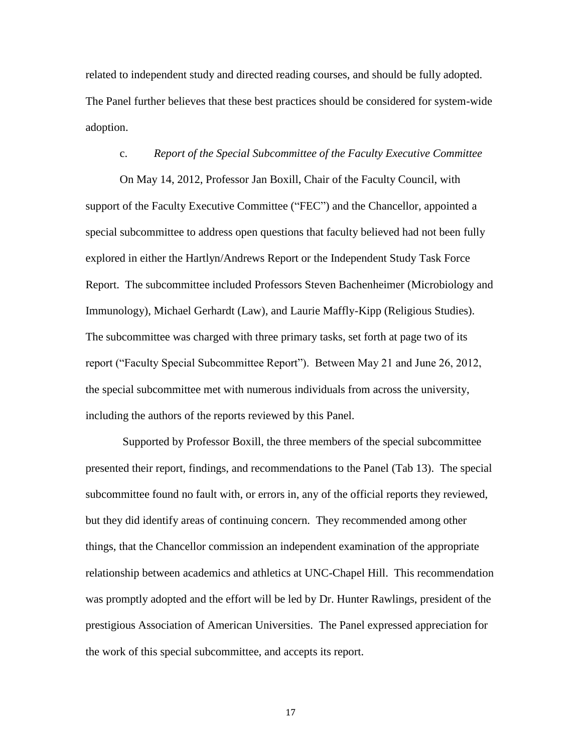related to independent study and directed reading courses, and should be fully adopted. The Panel further believes that these best practices should be considered for system-wide adoption.

### c. *Report of the Special Subcommittee of the Faculty Executive Committee*

On May 14, 2012, Professor Jan Boxill, Chair of the Faculty Council, with support of the Faculty Executive Committee ("FEC") and the Chancellor, appointed a special subcommittee to address open questions that faculty believed had not been fully explored in either the Hartlyn/Andrews Report or the Independent Study Task Force Report. The subcommittee included Professors Steven Bachenheimer (Microbiology and Immunology), Michael Gerhardt (Law), and Laurie Maffly-Kipp (Religious Studies). The subcommittee was charged with three primary tasks, set forth at page two of its report ("Faculty Special Subcommittee Report"). Between May 21 and June 26, 2012, the special subcommittee met with numerous individuals from across the university, including the authors of the reports reviewed by this Panel.

Supported by Professor Boxill, the three members of the special subcommittee presented their report, findings, and recommendations to the Panel (Tab 13). The special subcommittee found no fault with, or errors in, any of the official reports they reviewed, but they did identify areas of continuing concern. They recommended among other things, that the Chancellor commission an independent examination of the appropriate relationship between academics and athletics at UNC-Chapel Hill. This recommendation was promptly adopted and the effort will be led by Dr. Hunter Rawlings, president of the prestigious Association of American Universities. The Panel expressed appreciation for the work of this special subcommittee, and accepts its report.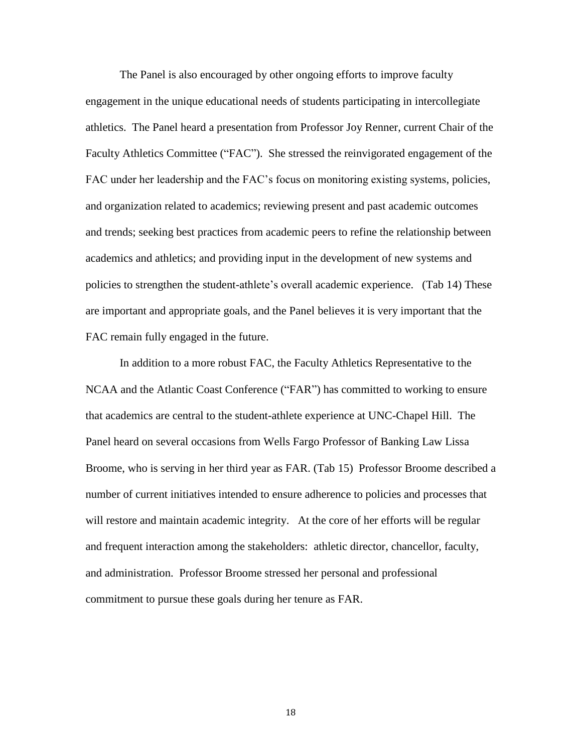The Panel is also encouraged by other ongoing efforts to improve faculty engagement in the unique educational needs of students participating in intercollegiate athletics. The Panel heard a presentation from Professor Joy Renner, current Chair of the Faculty Athletics Committee ("FAC"). She stressed the reinvigorated engagement of the FAC under her leadership and the FAC's focus on monitoring existing systems, policies, and organization related to academics; reviewing present and past academic outcomes and trends; seeking best practices from academic peers to refine the relationship between academics and athletics; and providing input in the development of new systems and policies to strengthen the student-athlete's overall academic experience. (Tab 14) These are important and appropriate goals, and the Panel believes it is very important that the FAC remain fully engaged in the future.

In addition to a more robust FAC, the Faculty Athletics Representative to the NCAA and the Atlantic Coast Conference ("FAR") has committed to working to ensure that academics are central to the student-athlete experience at UNC-Chapel Hill. The Panel heard on several occasions from Wells Fargo Professor of Banking Law Lissa Broome, who is serving in her third year as FAR. (Tab 15) Professor Broome described a number of current initiatives intended to ensure adherence to policies and processes that will restore and maintain academic integrity. At the core of her efforts will be regular and frequent interaction among the stakeholders: athletic director, chancellor, faculty, and administration. Professor Broome stressed her personal and professional commitment to pursue these goals during her tenure as FAR.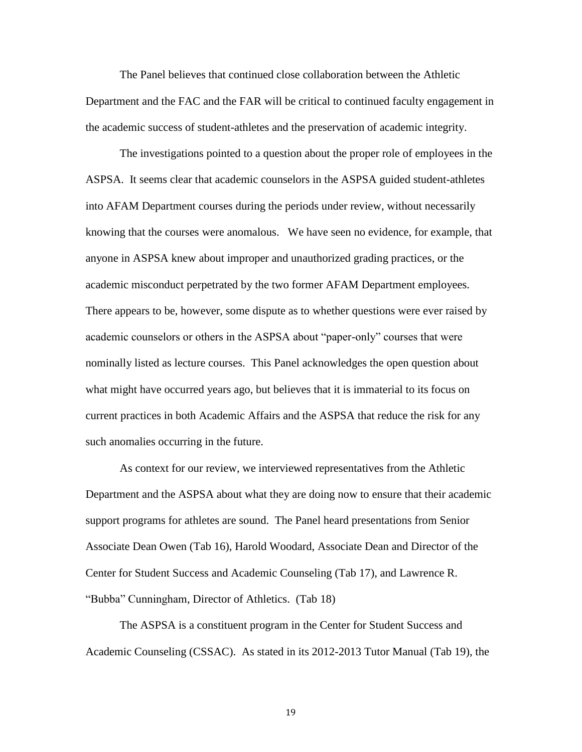The Panel believes that continued close collaboration between the Athletic Department and the FAC and the FAR will be critical to continued faculty engagement in the academic success of student-athletes and the preservation of academic integrity.

The investigations pointed to a question about the proper role of employees in the ASPSA. It seems clear that academic counselors in the ASPSA guided student-athletes into AFAM Department courses during the periods under review, without necessarily knowing that the courses were anomalous. We have seen no evidence, for example, that anyone in ASPSA knew about improper and unauthorized grading practices, or the academic misconduct perpetrated by the two former AFAM Department employees. There appears to be, however, some dispute as to whether questions were ever raised by academic counselors or others in the ASPSA about "paper-only" courses that were nominally listed as lecture courses. This Panel acknowledges the open question about what might have occurred years ago, but believes that it is immaterial to its focus on current practices in both Academic Affairs and the ASPSA that reduce the risk for any such anomalies occurring in the future.

As context for our review, we interviewed representatives from the Athletic Department and the ASPSA about what they are doing now to ensure that their academic support programs for athletes are sound. The Panel heard presentations from Senior Associate Dean Owen (Tab 16), Harold Woodard, Associate Dean and Director of the Center for Student Success and Academic Counseling (Tab 17), and Lawrence R. "Bubba" Cunningham, Director of Athletics. (Tab 18)

The ASPSA is a constituent program in the Center for Student Success and Academic Counseling (CSSAC). As stated in its 2012-2013 Tutor Manual (Tab 19), the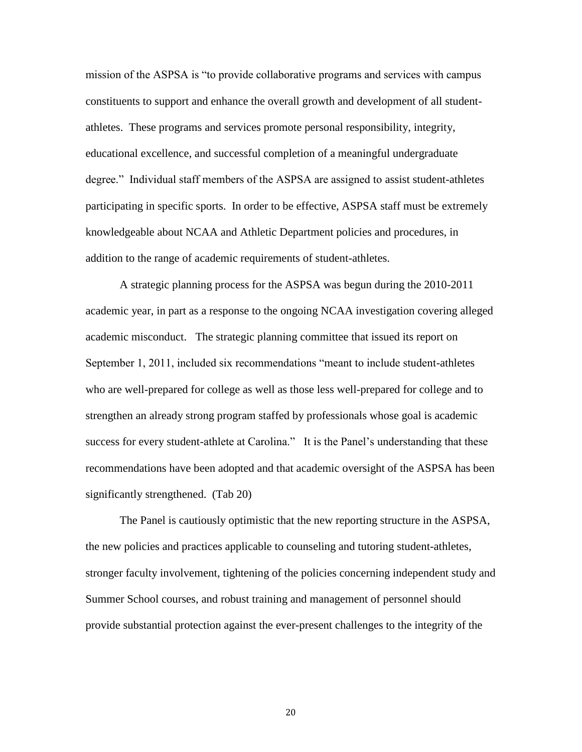mission of the ASPSA is "to provide collaborative programs and services with campus constituents to support and enhance the overall growth and development of all studentathletes. These programs and services promote personal responsibility, integrity, educational excellence, and successful completion of a meaningful undergraduate degree." Individual staff members of the ASPSA are assigned to assist student-athletes participating in specific sports. In order to be effective, ASPSA staff must be extremely knowledgeable about NCAA and Athletic Department policies and procedures, in addition to the range of academic requirements of student-athletes.

A strategic planning process for the ASPSA was begun during the 2010-2011 academic year, in part as a response to the ongoing NCAA investigation covering alleged academic misconduct. The strategic planning committee that issued its report on September 1, 2011, included six recommendations "meant to include student-athletes who are well-prepared for college as well as those less well-prepared for college and to strengthen an already strong program staffed by professionals whose goal is academic success for every student-athlete at Carolina." It is the Panel's understanding that these recommendations have been adopted and that academic oversight of the ASPSA has been significantly strengthened. (Tab 20)

The Panel is cautiously optimistic that the new reporting structure in the ASPSA, the new policies and practices applicable to counseling and tutoring student-athletes, stronger faculty involvement, tightening of the policies concerning independent study and Summer School courses, and robust training and management of personnel should provide substantial protection against the ever-present challenges to the integrity of the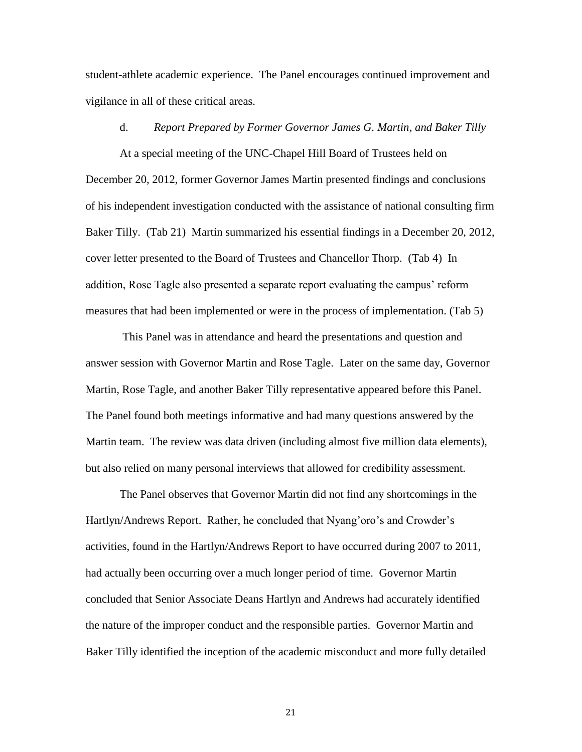student-athlete academic experience. The Panel encourages continued improvement and vigilance in all of these critical areas.

### d. *Report Prepared by Former Governor James G. Martin, and Baker Tilly*

At a special meeting of the UNC-Chapel Hill Board of Trustees held on December 20, 2012, former Governor James Martin presented findings and conclusions of his independent investigation conducted with the assistance of national consulting firm Baker Tilly. (Tab 21) Martin summarized his essential findings in a December 20, 2012, cover letter presented to the Board of Trustees and Chancellor Thorp. (Tab 4) In addition, Rose Tagle also presented a separate report evaluating the campus' reform measures that had been implemented or were in the process of implementation. (Tab 5)

This Panel was in attendance and heard the presentations and question and answer session with Governor Martin and Rose Tagle. Later on the same day, Governor Martin, Rose Tagle, and another Baker Tilly representative appeared before this Panel. The Panel found both meetings informative and had many questions answered by the Martin team. The review was data driven (including almost five million data elements), but also relied on many personal interviews that allowed for credibility assessment.

The Panel observes that Governor Martin did not find any shortcomings in the Hartlyn/Andrews Report. Rather, he concluded that Nyang'oro's and Crowder's activities, found in the Hartlyn/Andrews Report to have occurred during 2007 to 2011, had actually been occurring over a much longer period of time. Governor Martin concluded that Senior Associate Deans Hartlyn and Andrews had accurately identified the nature of the improper conduct and the responsible parties. Governor Martin and Baker Tilly identified the inception of the academic misconduct and more fully detailed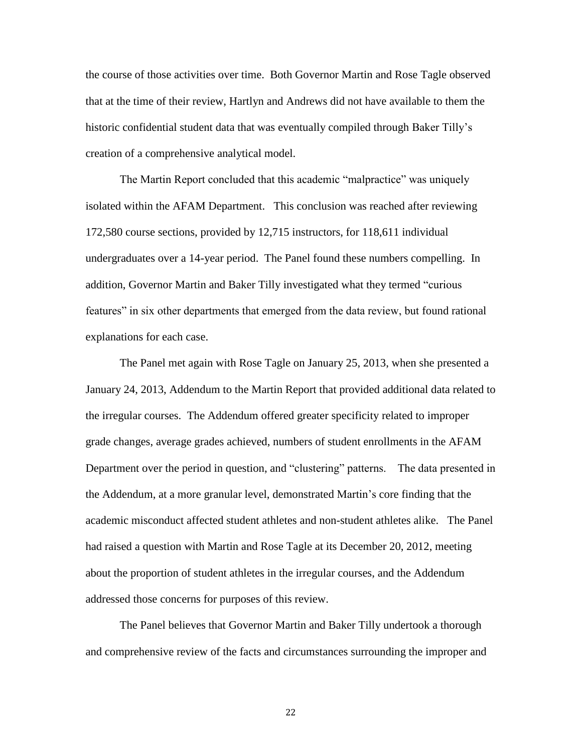the course of those activities over time. Both Governor Martin and Rose Tagle observed that at the time of their review, Hartlyn and Andrews did not have available to them the historic confidential student data that was eventually compiled through Baker Tilly's creation of a comprehensive analytical model.

The Martin Report concluded that this academic "malpractice" was uniquely isolated within the AFAM Department. This conclusion was reached after reviewing 172,580 course sections, provided by 12,715 instructors, for 118,611 individual undergraduates over a 14-year period. The Panel found these numbers compelling. In addition, Governor Martin and Baker Tilly investigated what they termed "curious features" in six other departments that emerged from the data review, but found rational explanations for each case.

The Panel met again with Rose Tagle on January 25, 2013, when she presented a January 24, 2013, Addendum to the Martin Report that provided additional data related to the irregular courses. The Addendum offered greater specificity related to improper grade changes, average grades achieved, numbers of student enrollments in the AFAM Department over the period in question, and "clustering" patterns. The data presented in the Addendum, at a more granular level, demonstrated Martin's core finding that the academic misconduct affected student athletes and non-student athletes alike. The Panel had raised a question with Martin and Rose Tagle at its December 20, 2012, meeting about the proportion of student athletes in the irregular courses, and the Addendum addressed those concerns for purposes of this review.

The Panel believes that Governor Martin and Baker Tilly undertook a thorough and comprehensive review of the facts and circumstances surrounding the improper and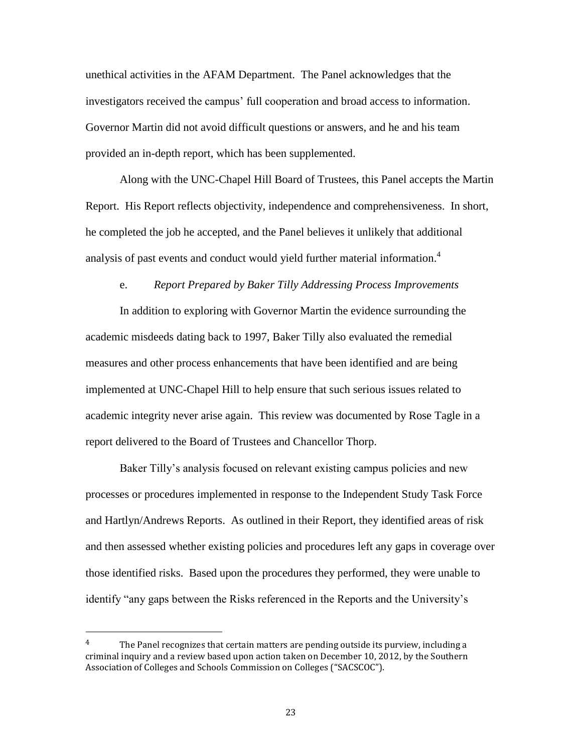unethical activities in the AFAM Department. The Panel acknowledges that the investigators received the campus' full cooperation and broad access to information. Governor Martin did not avoid difficult questions or answers, and he and his team provided an in-depth report, which has been supplemented.

Along with the UNC-Chapel Hill Board of Trustees, this Panel accepts the Martin Report. His Report reflects objectivity, independence and comprehensiveness. In short, he completed the job he accepted, and the Panel believes it unlikely that additional analysis of past events and conduct would yield further material information.<sup>4</sup>

### e. *Report Prepared by Baker Tilly Addressing Process Improvements*

In addition to exploring with Governor Martin the evidence surrounding the academic misdeeds dating back to 1997, Baker Tilly also evaluated the remedial measures and other process enhancements that have been identified and are being implemented at UNC-Chapel Hill to help ensure that such serious issues related to academic integrity never arise again. This review was documented by Rose Tagle in a report delivered to the Board of Trustees and Chancellor Thorp.

Baker Tilly's analysis focused on relevant existing campus policies and new processes or procedures implemented in response to the Independent Study Task Force and Hartlyn/Andrews Reports. As outlined in their Report, they identified areas of risk and then assessed whether existing policies and procedures left any gaps in coverage over those identified risks. Based upon the procedures they performed, they were unable to identify "any gaps between the Risks referenced in the Reports and the University's

l

 $4$  The Panel recognizes that certain matters are pending outside its purview, including a criminal inquiry and a review based upon action taken on December 10, 2012, by the Southern Association of Colleges and Schools Commission on Colleges ("SACSCOC").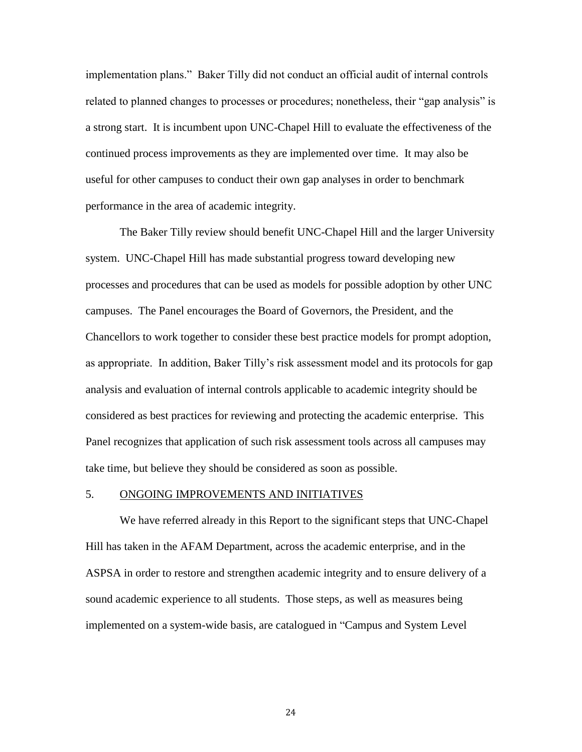implementation plans." Baker Tilly did not conduct an official audit of internal controls related to planned changes to processes or procedures; nonetheless, their "gap analysis" is a strong start. It is incumbent upon UNC-Chapel Hill to evaluate the effectiveness of the continued process improvements as they are implemented over time. It may also be useful for other campuses to conduct their own gap analyses in order to benchmark performance in the area of academic integrity.

The Baker Tilly review should benefit UNC-Chapel Hill and the larger University system. UNC-Chapel Hill has made substantial progress toward developing new processes and procedures that can be used as models for possible adoption by other UNC campuses. The Panel encourages the Board of Governors, the President, and the Chancellors to work together to consider these best practice models for prompt adoption, as appropriate. In addition, Baker Tilly's risk assessment model and its protocols for gap analysis and evaluation of internal controls applicable to academic integrity should be considered as best practices for reviewing and protecting the academic enterprise. This Panel recognizes that application of such risk assessment tools across all campuses may take time, but believe they should be considered as soon as possible.

#### 5. ONGOING IMPROVEMENTS AND INITIATIVES

We have referred already in this Report to the significant steps that UNC-Chapel Hill has taken in the AFAM Department, across the academic enterprise, and in the ASPSA in order to restore and strengthen academic integrity and to ensure delivery of a sound academic experience to all students. Those steps, as well as measures being implemented on a system-wide basis, are catalogued in "Campus and System Level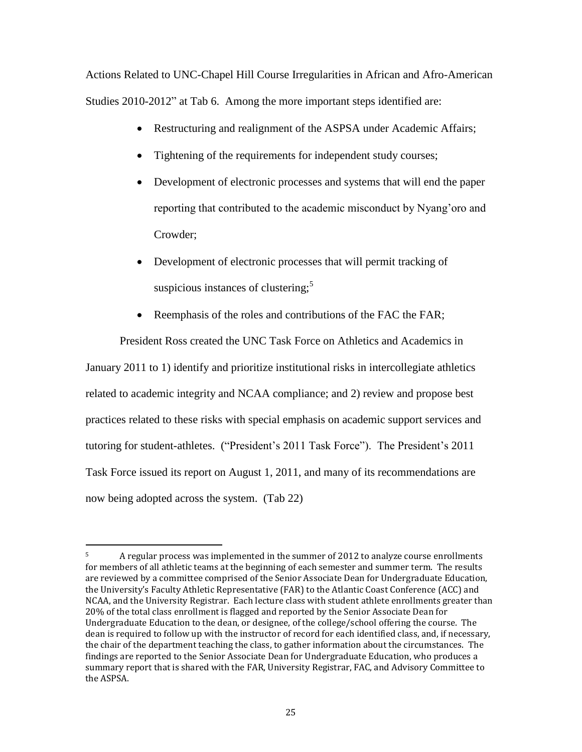Actions Related to UNC-Chapel Hill Course Irregularities in African and Afro-American Studies 2010-2012" at Tab 6. Among the more important steps identified are:

- Restructuring and realignment of the ASPSA under Academic Affairs;
- Tightening of the requirements for independent study courses;
- Development of electronic processes and systems that will end the paper reporting that contributed to the academic misconduct by Nyang'oro and Crowder;
- Development of electronic processes that will permit tracking of suspicious instances of clustering; $<sup>5</sup>$ </sup>
- Reemphasis of the roles and contributions of the FAC the FAR;

President Ross created the UNC Task Force on Athletics and Academics in

January 2011 to 1) identify and prioritize institutional risks in intercollegiate athletics related to academic integrity and NCAA compliance; and 2) review and propose best practices related to these risks with special emphasis on academic support services and tutoring for student-athletes. ("President's 2011 Task Force"). The President's 2011 Task Force issued its report on August 1, 2011, and many of its recommendations are now being adopted across the system. (Tab 22)

l

<sup>&</sup>lt;sup>5</sup> A regular process was implemented in the summer of 2012 to analyze course enrollments for members of all athletic teams at the beginning of each semester and summer term. The results are reviewed by a committee comprised of the Senior Associate Dean for Undergraduate Education, the University's Faculty Athletic Representative (FAR) to the Atlantic Coast Conference (ACC) and NCAA, and the University Registrar. Each lecture class with student athlete enrollments greater than 20% of the total class enrollment is flagged and reported by the Senior Associate Dean for Undergraduate Education to the dean, or designee, of the college/school offering the course. The dean is required to follow up with the instructor of record for each identified class, and, if necessary, the chair of the department teaching the class, to gather information about the circumstances. The findings are reported to the Senior Associate Dean for Undergraduate Education, who produces a summary report that is shared with the FAR, University Registrar, FAC, and Advisory Committee to the ASPSA.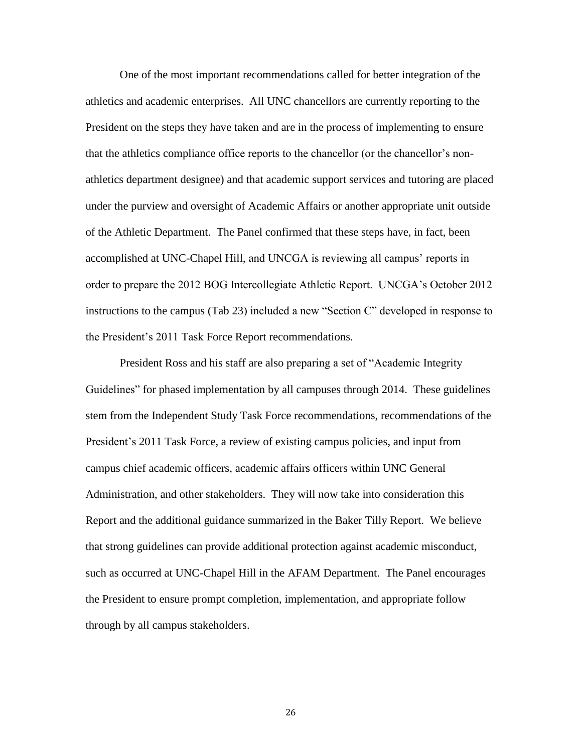One of the most important recommendations called for better integration of the athletics and academic enterprises. All UNC chancellors are currently reporting to the President on the steps they have taken and are in the process of implementing to ensure that the athletics compliance office reports to the chancellor (or the chancellor's nonathletics department designee) and that academic support services and tutoring are placed under the purview and oversight of Academic Affairs or another appropriate unit outside of the Athletic Department. The Panel confirmed that these steps have, in fact, been accomplished at UNC-Chapel Hill, and UNCGA is reviewing all campus' reports in order to prepare the 2012 BOG Intercollegiate Athletic Report. UNCGA's October 2012 instructions to the campus (Tab 23) included a new "Section C" developed in response to the President's 2011 Task Force Report recommendations.

President Ross and his staff are also preparing a set of "Academic Integrity Guidelines" for phased implementation by all campuses through 2014. These guidelines stem from the Independent Study Task Force recommendations, recommendations of the President's 2011 Task Force, a review of existing campus policies, and input from campus chief academic officers, academic affairs officers within UNC General Administration, and other stakeholders. They will now take into consideration this Report and the additional guidance summarized in the Baker Tilly Report. We believe that strong guidelines can provide additional protection against academic misconduct, such as occurred at UNC-Chapel Hill in the AFAM Department. The Panel encourages the President to ensure prompt completion, implementation, and appropriate follow through by all campus stakeholders.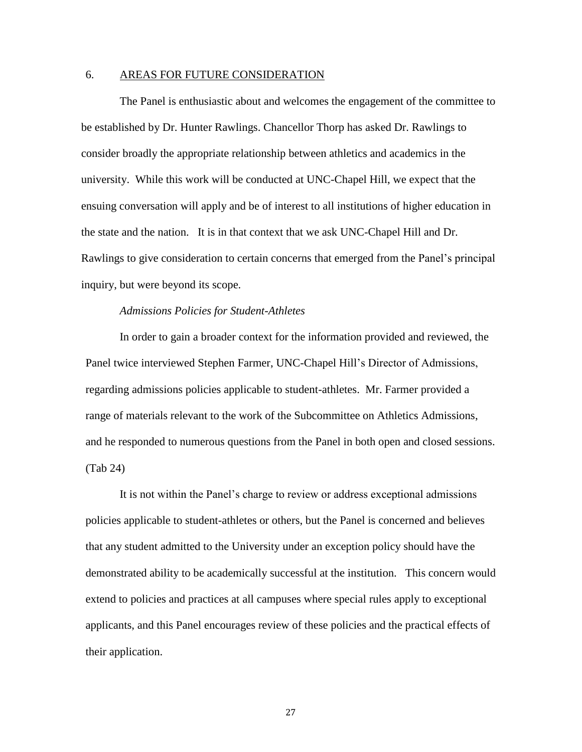### 6. AREAS FOR FUTURE CONSIDERATION

The Panel is enthusiastic about and welcomes the engagement of the committee to be established by Dr. Hunter Rawlings. Chancellor Thorp has asked Dr. Rawlings to consider broadly the appropriate relationship between athletics and academics in the university. While this work will be conducted at UNC-Chapel Hill, we expect that the ensuing conversation will apply and be of interest to all institutions of higher education in the state and the nation. It is in that context that we ask UNC-Chapel Hill and Dr. Rawlings to give consideration to certain concerns that emerged from the Panel's principal inquiry, but were beyond its scope.

# *Admissions Policies for Student-Athletes*

In order to gain a broader context for the information provided and reviewed, the Panel twice interviewed Stephen Farmer, UNC-Chapel Hill's Director of Admissions, regarding admissions policies applicable to student-athletes. Mr. Farmer provided a range of materials relevant to the work of the Subcommittee on Athletics Admissions, and he responded to numerous questions from the Panel in both open and closed sessions. (Tab 24)

It is not within the Panel's charge to review or address exceptional admissions policies applicable to student-athletes or others, but the Panel is concerned and believes that any student admitted to the University under an exception policy should have the demonstrated ability to be academically successful at the institution. This concern would extend to policies and practices at all campuses where special rules apply to exceptional applicants, and this Panel encourages review of these policies and the practical effects of their application.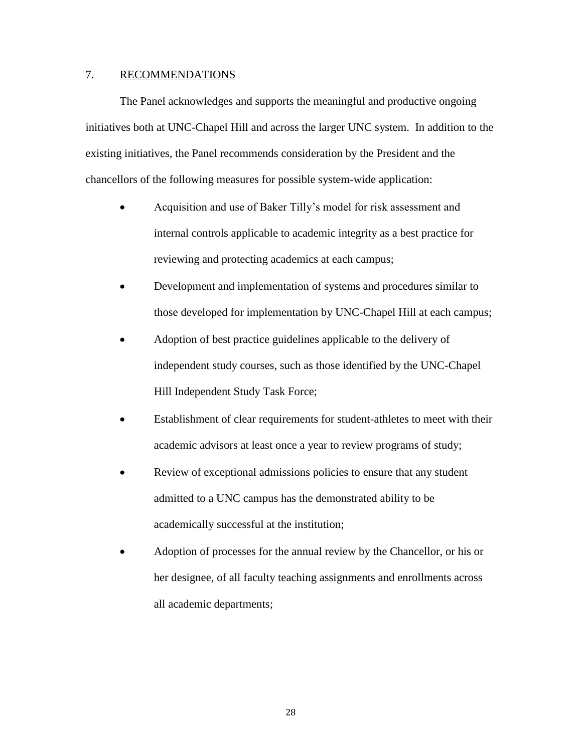# 7. RECOMMENDATIONS

The Panel acknowledges and supports the meaningful and productive ongoing initiatives both at UNC-Chapel Hill and across the larger UNC system. In addition to the existing initiatives, the Panel recommends consideration by the President and the chancellors of the following measures for possible system-wide application:

- Acquisition and use of Baker Tilly's model for risk assessment and internal controls applicable to academic integrity as a best practice for reviewing and protecting academics at each campus;
- Development and implementation of systems and procedures similar to those developed for implementation by UNC-Chapel Hill at each campus;
- Adoption of best practice guidelines applicable to the delivery of independent study courses, such as those identified by the UNC-Chapel Hill Independent Study Task Force;
- Establishment of clear requirements for student-athletes to meet with their academic advisors at least once a year to review programs of study;
- Review of exceptional admissions policies to ensure that any student admitted to a UNC campus has the demonstrated ability to be academically successful at the institution;
- Adoption of processes for the annual review by the Chancellor, or his or her designee, of all faculty teaching assignments and enrollments across all academic departments;